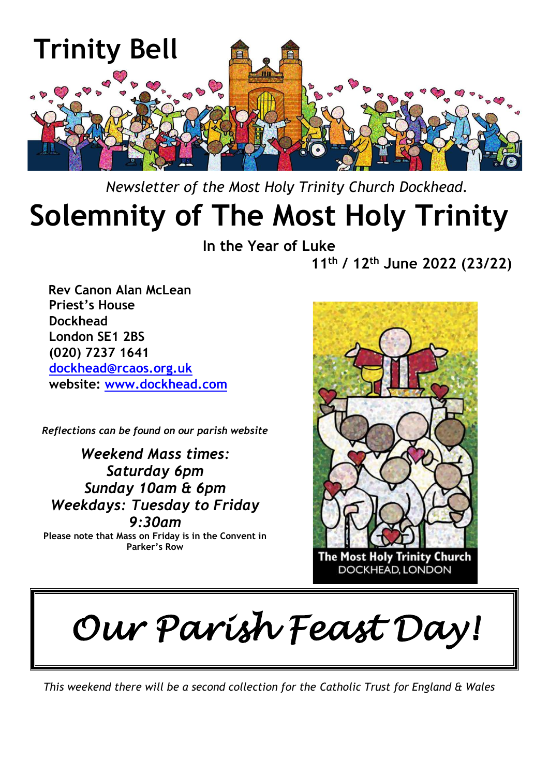

 *Newsletter of the Most Holy Trinity Church Dockhead.*

# **Solemnity of The Most Holy Trinity**

**In the Year of Luke**

**11th / 12th June 2022 (23/22)**

 **Rev Canon Alan McLean Priest's House Dockhead London SE1 2BS (020) 7237 1641 [dockhead@rcaos.org.uk](mailto:dockhead@rcaos.org.uk) website: [www.dockhead.com](http://www.dockhead.com/)**

*Reflections can be found on our parish website*

*Weekend Mass times: Saturday 6pm Sunday 10am & 6pm Weekdays: Tuesday to Friday 9:30am*

**Please note that Mass on Friday is in the Convent in Parker's Row**



*Our Parish Feast Day!* 

*This weekend there will be a second collection for the Catholic Trust for England & Wales*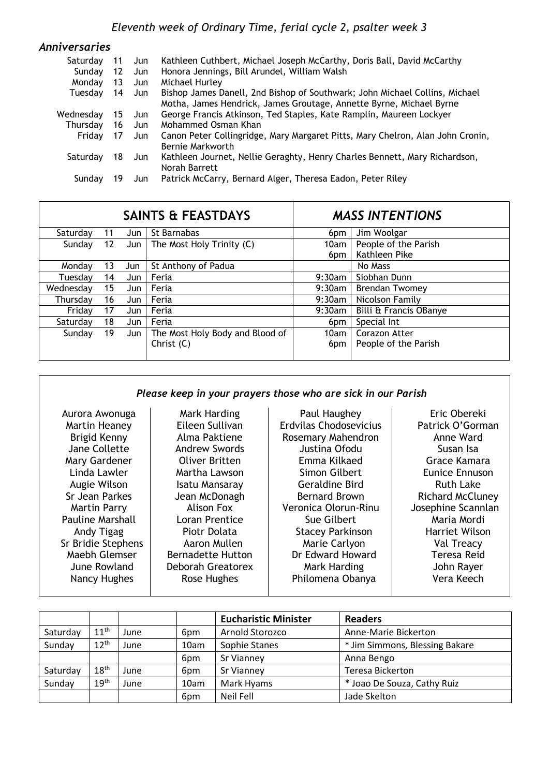| <b>Anniversaries</b> |     |       |                                                                                                                                                    |
|----------------------|-----|-------|----------------------------------------------------------------------------------------------------------------------------------------------------|
| Saturdav             | -11 | Jun J | Kathleen Cuthbert, Michael Joseph McCarthy, Doris Ball, David McCarthy                                                                             |
| Sunday               | 12  | Jun   | Honora Jennings, Bill Arundel, William Walsh                                                                                                       |
| Monday               | 13  | Jun   | Michael Hurley                                                                                                                                     |
| Tuesday              | 14  | Jun   | Bishop James Danell, 2nd Bishop of Southwark; John Michael Collins, Michael<br>Motha, James Hendrick, James Groutage, Annette Byrne, Michael Byrne |
| Wednesday            | 15  | Jun   | George Francis Atkinson, Ted Staples, Kate Ramplin, Maureen Lockyer                                                                                |
| Thursday             | 16  | Jun   | Mohammed Osman Khan                                                                                                                                |
| Fridav               | 17  | Jun   | Canon Peter Collingridge, Mary Margaret Pitts, Mary Chelron, Alan John Cronin,<br>Bernie Markworth                                                 |
| Saturday             | 18  | Jun   | Kathleen Journet, Nellie Geraghty, Henry Charles Bennett, Mary Richardson,<br>Norah Barrett                                                        |
| Sunday               |     | Jun   | Patrick McCarry, Bernard Alger, Theresa Eadon, Peter Riley                                                                                         |

|           |                 |     | <b>SAINTS &amp; FEASTDAYS</b>   | <b>MASS INTENTIONS</b> |                        |
|-----------|-----------------|-----|---------------------------------|------------------------|------------------------|
| Saturday  | 11              | Jun | St Barnabas                     | 6pm                    | Jim Woolgar            |
| Sunday    | 12 <sup>2</sup> | Jun | The Most Holy Trinity (C)       | 10am                   | People of the Parish   |
|           |                 |     |                                 | 6pm                    | Kathleen Pike          |
| Monday    | 13              | Jun | St Anthony of Padua             |                        | No Mass                |
| Tuesdav   | 14              | Jun | Feria                           | $9:30$ am              | Siobhan Dunn           |
| Wednesdav | 15              | Jun | Feria                           | $9:30$ am              | <b>Brendan Twomey</b>  |
| Thursday  | 16              | Jun | Feria                           | 9:30am                 | Nicolson Family        |
| Friday    | 17              | Jun | Feria                           | 9:30am                 | Billi & Francis OBanye |
| Saturday  | 18              | Jun | Feria                           | 6 <sub>pm</sub>        | Special Int            |
| Sunday    | 19              | Jun | The Most Holy Body and Blood of | 10am                   | Corazon Atter          |
|           |                 |     | Christ (C)                      | 6pm                    | People of the Parish   |

### *Please keep in your prayers those who are sick in our Parish*

| Aurora Awonuga          | Mark Harding             | Paul Haughey            | Eric Obereki            |
|-------------------------|--------------------------|-------------------------|-------------------------|
| Martin Heaney           | Eileen Sullivan          | Erdvilas Chodosevicius  | Patrick O'Gorman        |
| Brigid Kenny            | Alma Paktiene            | Rosemary Mahendron      | Anne Ward               |
| Jane Collette           | <b>Andrew Swords</b>     | Justina Ofodu           | Susan Isa               |
| Mary Gardener           | Oliver Britten           | Emma Kilkaed            | Grace Kamara            |
| Linda Lawler            | Martha Lawson            | Simon Gilbert           | Eunice Ennuson          |
| Augie Wilson            | <b>Isatu Mansaray</b>    | <b>Geraldine Bird</b>   | <b>Ruth Lake</b>        |
| Sr Jean Parkes          | Jean McDonagh            | <b>Bernard Brown</b>    | <b>Richard McCluney</b> |
| <b>Martin Parry</b>     | Alison Fox               | Veronica Olorun-Rinu    | Josephine Scannlan      |
| <b>Pauline Marshall</b> | Loran Prentice           | Sue Gilbert             | Maria Mordi             |
| Andy Tigag              | Piotr Dolata             | <b>Stacey Parkinson</b> | Harriet Wilson          |
| Sr Bridie Stephens      | Aaron Mullen             | Marie Carlyon           | Val Treacy              |
| Maebh Glemser           | <b>Bernadette Hutton</b> | Dr Edward Howard        | Teresa Reid             |
| June Rowland            | Deborah Greatorex        | Mark Harding            | John Rayer              |
| Nancy Hughes            | Rose Hughes              | Philomena Obanya        | Vera Keech              |
|                         |                          |                         |                         |

|          |                  |      |                 | <b>Eucharistic Minister</b> | <b>Readers</b>                 |
|----------|------------------|------|-----------------|-----------------------------|--------------------------------|
| Saturday | 11 <sup>th</sup> | June | 6pm             | Arnold Storozco             | Anne-Marie Bickerton           |
| Sunday   | $12^{th}$        | June | 10am            | Sophie Stanes               | * Jim Simmons, Blessing Bakare |
|          |                  |      | 6pm             | Sr Vianney                  | Anna Bengo                     |
| Saturday | 18 <sup>th</sup> | June | 6pm             | Sr Vianney                  | Teresa Bickerton               |
| Sunday   | 19 <sup>th</sup> | June | 10am            | Mark Hyams                  | * Joao De Souza, Cathy Ruiz    |
|          |                  |      | 6 <sub>pm</sub> | Neil Fell                   | Jade Skelton                   |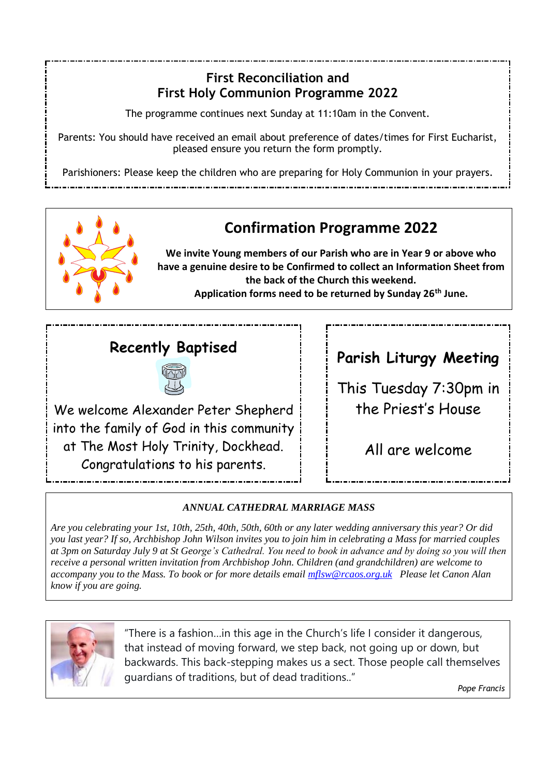## **First Reconciliation and First Holy Communion Programme 2022**

The programme continues next Sunday at 11:10am in the Convent.

Parents: You should have received an email about preference of dates/times for First Eucharist, pleased ensure you return the form promptly.

Parishioners: Please keep the children who are preparing for Holy Communion in your prayers.



# **Confirmation Programme 2022**

**We invite Young members of our Parish who are in Year 9 or above who have a genuine desire to be Confirmed to collect an Information Sheet from the back of the Church this weekend. Application forms need to be returned by Sunday 26th June.**

# **Recently Baptised**



We welcome Alexander Peter Shepherd into the family of God in this community at The Most Holy Trinity, Dockhead. Congratulations to his parents.

**Parish Liturgy Meeting**

This Tuesday 7:30pm in the Priest's House

All are welcome

### *ANNUAL CATHEDRAL MARRIAGE MASS*

*Are you celebrating your 1st, 10th, 25th, 40th, 50th, 60th or any later wedding anniversary this year? Or did you last year? If so, Archbishop John Wilson invites you to join him in celebrating a Mass for married couples at 3pm on Saturday July 9 at St George's Cathedral. You need to book in advance and by doing so you will then receive a personal written invitation from Archbishop John. Children (and grandchildren) are welcome to accompany you to the Mass. To book or for more details email [mflsw@rcaos.org.uk](mailto:mflsw@rcaos.org.uk) Please let Canon Alan know if you are going.*



"There is a fashion…in this age in the Church's life I consider it dangerous, that instead of moving forward, we step back, not going up or down, but backwards. This back-stepping makes us a sect. Those people call themselves guardians of traditions, but of dead traditions.."

*Pope Francis*